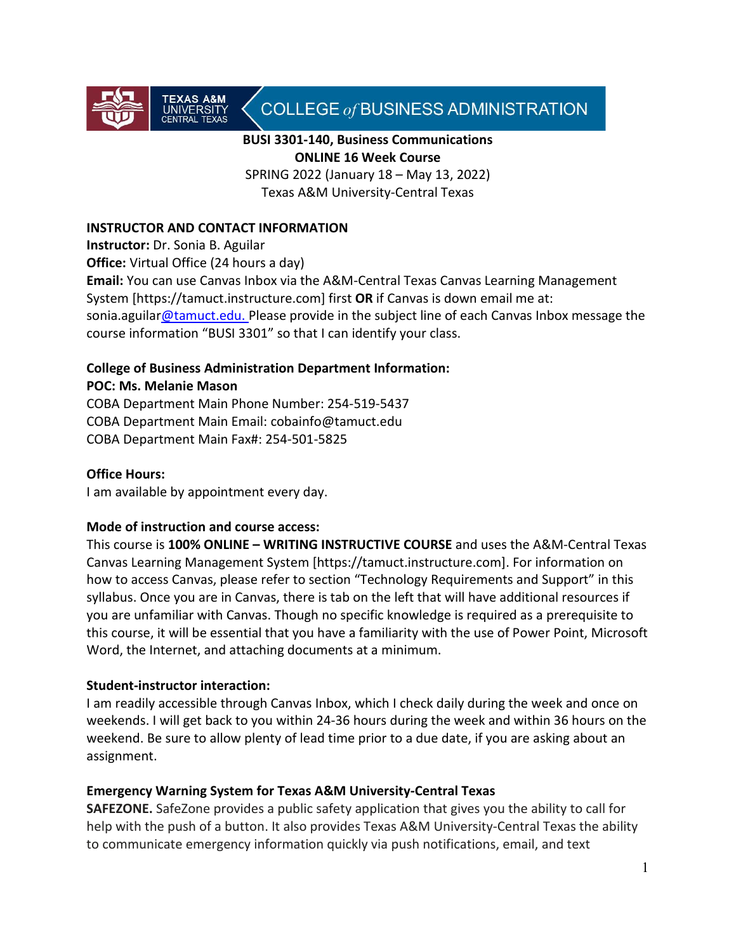

# COLLEGE of BUSINESS ADMINISTRATION

### **BUSI 3301-140, Business Communications ONLINE 16 Week Course**

SPRING 2022 (January 18 – May 13, 2022) Texas A&M University-Central Texas

### **INSTRUCTOR AND CONTACT INFORMATION**

**Instructor:** Dr. Sonia B. Aguilar

**Office:** Virtual Office (24 hours a day)

**Email:** You can use Canvas Inbox via the A&M-Central Texas Canvas Learning Management System [https://tamuct.instructure.com] first **OR** if Canvas is down email me at: sonia.aguila[r@tamuct.edu.](mailto:xxx@tamuct.edu) Please provide in the subject line of each Canvas Inbox message the course information "BUSI 3301" so that I can identify your class.

#### **College of Business Administration Department Information: POC: Ms. Melanie Mason**

COBA Department Main Phone Number: 254-519-5437 COBA Department Main Email: [cobainfo@tamuct.edu](https://exchange.tamu.edu/owa/redir.aspx?C=9AT6pQW5MU-k040V3QS5CyHxrKgMkdEI0uu538aFcfI4z4qHNg8n1CcWCulDL5ivwSI5eXy2XJM.&URL=mailto%3acobainfo%40tamuct.edu) COBA Department Main Fax#: 254-501-5825

# **Office Hours:**

I am available by appointment every day.

#### **Mode of instruction and course access:**

This course is **100% ONLINE – WRITING INSTRUCTIVE COURSE** and uses the A&M-Central Texas Canvas Learning Management System [https://tamuct.instructure.com]. For information on how to access Canvas, please refer to section "Technology Requirements and Support" in this syllabus. Once you are in Canvas, there is tab on the left that will have additional resources if you are unfamiliar with Canvas. Though no specific knowledge is required as a prerequisite to this course, it will be essential that you have a familiarity with the use of Power Point, Microsoft Word, the Internet, and attaching documents at a minimum.

# **Student-instructor interaction:**

I am readily accessible through Canvas Inbox, which I check daily during the week and once on weekends. I will get back to you within 24-36 hours during the week and within 36 hours on the weekend. Be sure to allow plenty of lead time prior to a due date, if you are asking about an assignment.

#### **Emergency Warning System for Texas A&M University-Central Texas**

**SAFEZONE.** SafeZone provides a public safety application that gives you the ability to call for help with the push of a button. It also provides Texas A&M University-Central Texas the ability to communicate emergency information quickly via push notifications, email, and text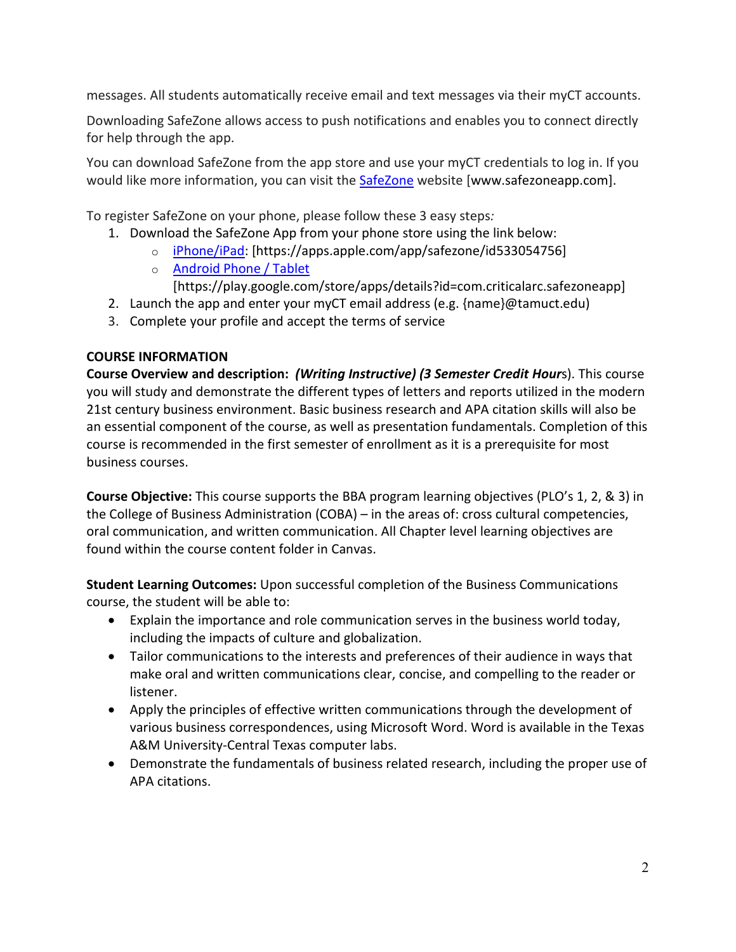messages. All students automatically receive email and text messages via their myCT accounts.

Downloading SafeZone allows access to push notifications and enables you to connect directly for help through the app.

You can download SafeZone from the app store and use your myCT credentials to log in. If you would like more information, you can visit the [SafeZone](http://www.safezoneapp.com/) website [www.safezoneapp.com].

To register SafeZone on your phone, please follow these 3 easy steps*:*

- 1. Download the SafeZone App from your phone store using the link below:
	- o [iPhone/iPad:](https://apps.apple.com/app/safezone/id533054756) [https://apps.apple.com/app/safezone/id533054756]
	- o [Android Phone / Tablet](https://play.google.com/store/apps/details?id=com.criticalarc.safezoneapp)
		- [https://play.google.com/store/apps/details?id=com.criticalarc.safezoneapp]
- 2. Launch the app and enter your myCT email address (e.g. {name}@tamuct.edu)
- 3. Complete your profile and accept the terms of service

# **COURSE INFORMATION**

**Course Overview and description:** *(Writing Instructive) (3 Semester Credit Hour*s). This course you will study and demonstrate the different types of letters and reports utilized in the modern 21st century business environment. Basic business research and APA citation skills will also be an essential component of the course, as well as presentation fundamentals. Completion of this course is recommended in the first semester of enrollment as it is a prerequisite for most business courses.

**Course Objective:** This course supports the BBA program learning objectives (PLO's 1, 2, & 3) in the College of Business Administration (COBA) – in the areas of: cross cultural competencies, oral communication, and written communication. All Chapter level learning objectives are found within the course content folder in Canvas.

**Student Learning Outcomes:** Upon successful completion of the Business Communications course, the student will be able to:

- Explain the importance and role communication serves in the business world today, including the impacts of culture and globalization.
- Tailor communications to the interests and preferences of their audience in ways that make oral and written communications clear, concise, and compelling to the reader or listener.
- Apply the principles of effective written communications through the development of various business correspondences, using Microsoft Word. Word is available in the Texas A&M University-Central Texas computer labs.
- Demonstrate the fundamentals of business related research, including the proper use of APA citations.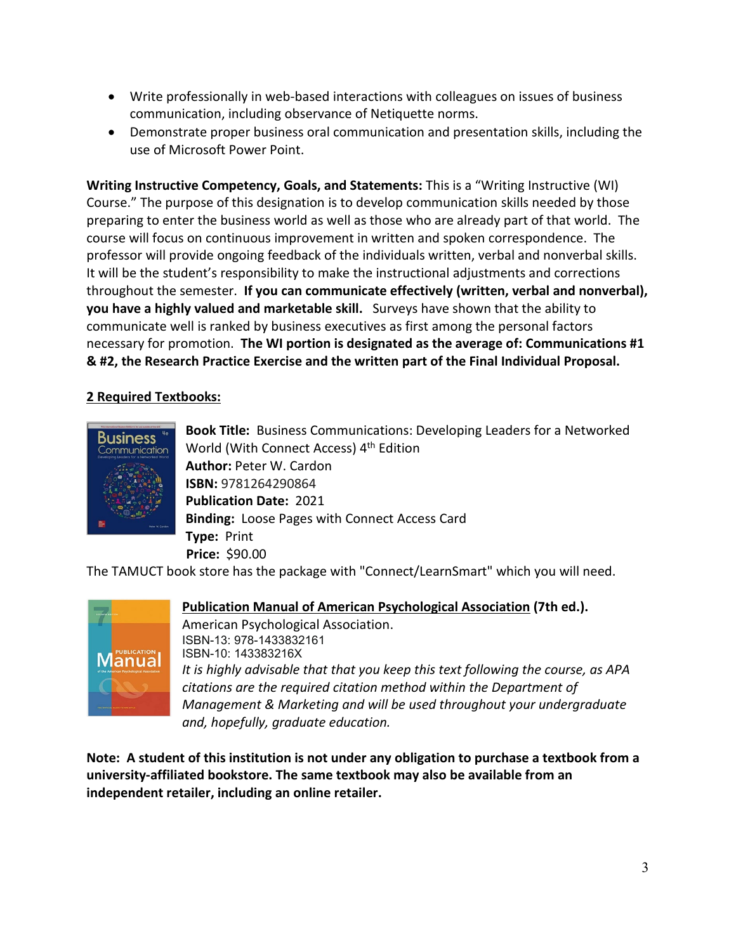- Write professionally in web-based interactions with colleagues on issues of business communication, including observance of Netiquette norms.
- Demonstrate proper business oral communication and presentation skills, including the use of Microsoft Power Point.

**Writing Instructive Competency, Goals, and Statements:** This is a "Writing Instructive (WI) Course." The purpose of this designation is to develop communication skills needed by those preparing to enter the business world as well as those who are already part of that world. The course will focus on continuous improvement in written and spoken correspondence. The professor will provide ongoing feedback of the individuals written, verbal and nonverbal skills. It will be the student's responsibility to make the instructional adjustments and corrections throughout the semester. **If you can communicate effectively (written, verbal and nonverbal), you have a highly valued and marketable skill.** Surveys have shown that the ability to communicate well is ranked by business executives as first among the personal factors necessary for promotion. **The WI portion is designated as the average of: Communications #1 & #2, the Research Practice Exercise and the written part of the Final Individual Proposal.**

# **2 Required Textbooks:**



**Book Title:** Business Communications: Developing Leaders for a Networked World (With Connect Access) 4<sup>th</sup> Edition **Author:** Peter W. Cardon **ISBN:** 9781264290864 **Publication Date:** 2021 **Binding:** Loose Pages with Connect Access Card **Type:** Print  **Price:** \$90.00

The TAMUCT book store has the package with "Connect/LearnSmart" which you will need.



**Publication Manual of American Psychological Association (7th ed.).** 

American Psychological Association. ISBN-13: 978-1433832161 ISBN-10: 143383216X *It is highly advisable that that you keep this text following the course, as APA citations are the required citation method within the Department of Management & Marketing and will be used throughout your undergraduate and, hopefully, graduate education.*

**Note: A student of this institution is not under any obligation to purchase a textbook from a university-affiliated bookstore. The same textbook may also be available from an independent retailer, including an online retailer.**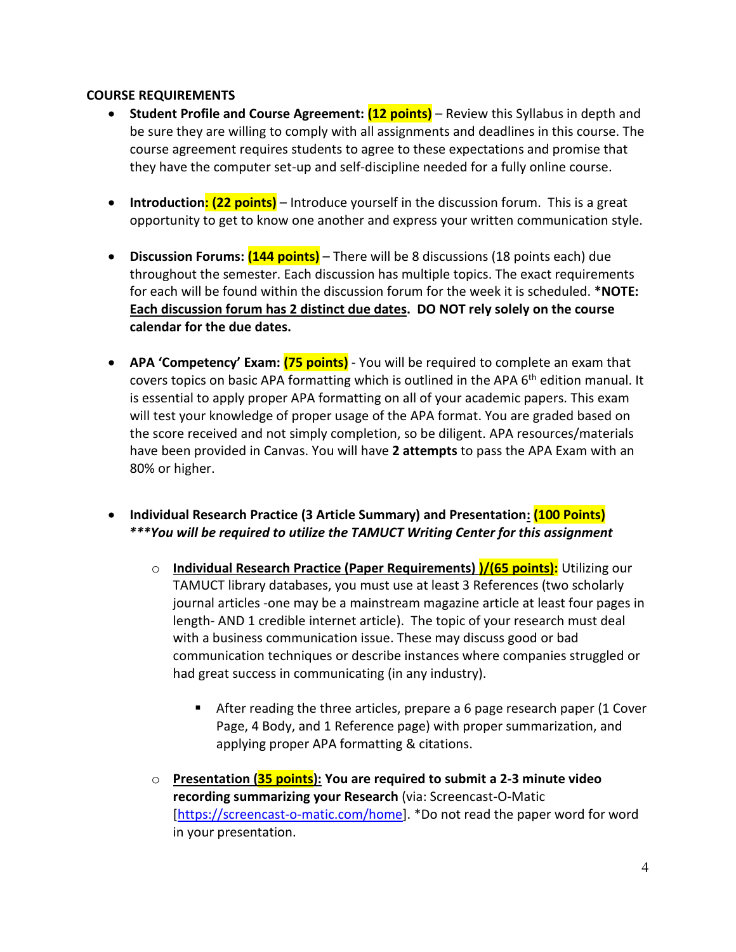#### **COURSE REQUIREMENTS**

- **Student Profile and Course Agreement: (12 points)** Review this Syllabus in depth and be sure they are willing to comply with all assignments and deadlines in this course. The course agreement requires students to agree to these expectations and promise that they have the computer set-up and self-discipline needed for a fully online course.
- **Introduction: (22 points)** Introduce yourself in the discussion forum. This is a great opportunity to get to know one another and express your written communication style.
- **Discussion Forums: (144 points)** There will be 8 discussions (18 points each) due throughout the semester. Each discussion has multiple topics. The exact requirements for each will be found within the discussion forum for the week it is scheduled. **\*NOTE: Each discussion forum has 2 distinct due dates. DO NOT rely solely on the course calendar for the due dates.**
- **APA 'Competency' Exam: (75 points)** You will be required to complete an exam that covers topics on basic APA formatting which is outlined in the APA 6<sup>th</sup> edition manual. It is essential to apply proper APA formatting on all of your academic papers. This exam will test your knowledge of proper usage of the APA format. You are graded based on the score received and not simply completion, so be diligent. APA resources/materials have been provided in Canvas. You will have **2 attempts** to pass the APA Exam with an 80% or higher.
- **Individual Research Practice (3 Article Summary) and Presentation: (100 Points)**  *\*\*\*You will be required to utilize the TAMUCT Writing Center for this assignment*
	- o **Individual Research Practice (Paper Requirements) )/(65 points):** Utilizing our TAMUCT library databases, you must use at least 3 References (two scholarly journal articles -one may be a mainstream magazine article at least four pages in length- AND 1 credible internet article). The topic of your research must deal with a business communication issue. These may discuss good or bad communication techniques or describe instances where companies struggled or had great success in communicating (in any industry).
		- After reading the three articles, prepare a 6 page research paper (1 Cover Page, 4 Body, and 1 Reference page) with proper summarization, and applying proper APA formatting & citations.
	- o **Presentation (35 points): You are required to submit a 2-3 minute video recording summarizing your Research** (via: Screencast-O-Matic [\[https://screencast-o-matic.com/home\]](https://screencast-o-matic.com/home). \*Do not read the paper word for word in your presentation.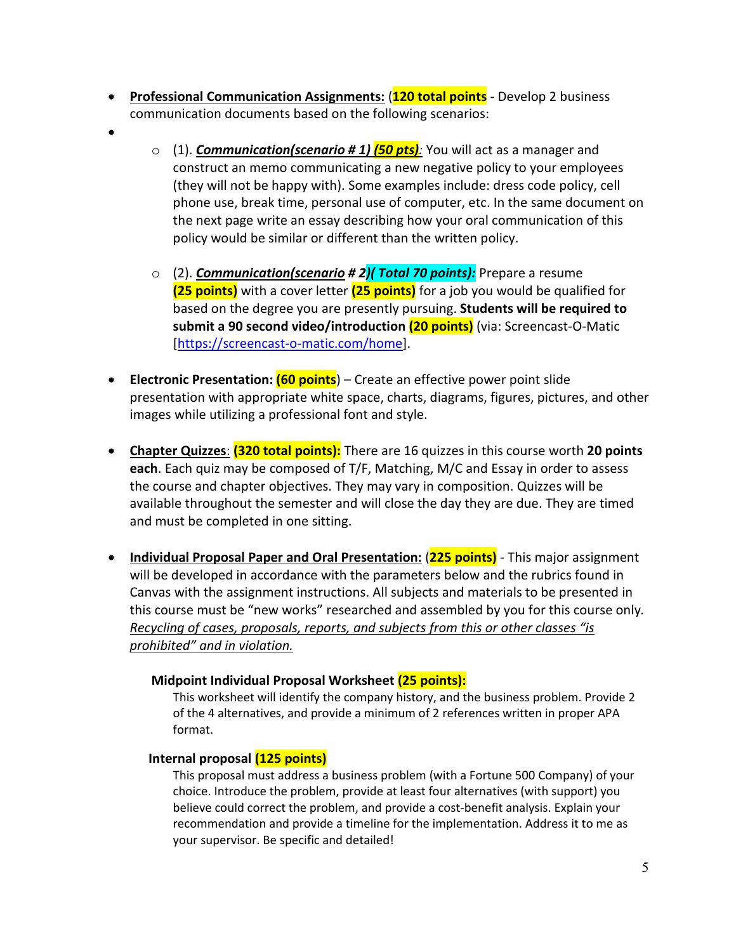- **Professional Communication Assignments:** (**120 total points** Develop 2 business communication documents based on the following scenarios:
- •
- o (1). *Communication(scenario # 1) (50 pts):* You will act as a manager and construct an memo communicating a new negative policy to your employees (they will not be happy with). Some examples include: dress code policy, cell phone use, break time, personal use of computer, etc. In the same document on the next page write an essay describing how your oral communication of this policy would be similar or different than the written policy.
- o (2). *Communication(scenario # 2)( Total 70 points):* Prepare a resume **(25 points)** with a cover letter **(25 points)** for a job you would be qualified for based on the degree you are presently pursuing. **Students will be required to submit a 90 second video/introduction (20 points)** (via: Screencast-O-Matic [\[https://screencast-o-matic.com/home\]](https://screencast-o-matic.com/home).
- **Electronic Presentation: (60 points**) Create an effective power point slide presentation with appropriate white space, charts, diagrams, figures, pictures, and other images while utilizing a professional font and style.
- **Chapter Quizzes**: **(320 total points):** There are 16 quizzes in this course worth **20 points each**. Each quiz may be composed of T/F, Matching, M/C and Essay in order to assess the course and chapter objectives. They may vary in composition. Quizzes will be available throughout the semester and will close the day they are due. They are timed and must be completed in one sitting.
- **Individual Proposal Paper and Oral Presentation:** (**225 points)** This major assignment will be developed in accordance with the parameters below and the rubrics found in Canvas with the assignment instructions. All subjects and materials to be presented in this course must be "new works" researched and assembled by you for this course only*. Recycling of cases, proposals, reports, and subjects from this or other classes "is prohibited" and in violation.*

# **Midpoint Individual Proposal Worksheet (25 points):**

This worksheet will identify the company history, and the business problem. Provide 2 of the 4 alternatives, and provide a minimum of 2 references written in proper APA format.

# **Internal proposal (125 points)**

This proposal must address a business problem (with a Fortune 500 Company) of your choice. Introduce the problem, provide at least four alternatives (with support) you believe could correct the problem, and provide a cost-benefit analysis. Explain your recommendation and provide a timeline for the implementation. Address it to me as your supervisor. Be specific and detailed!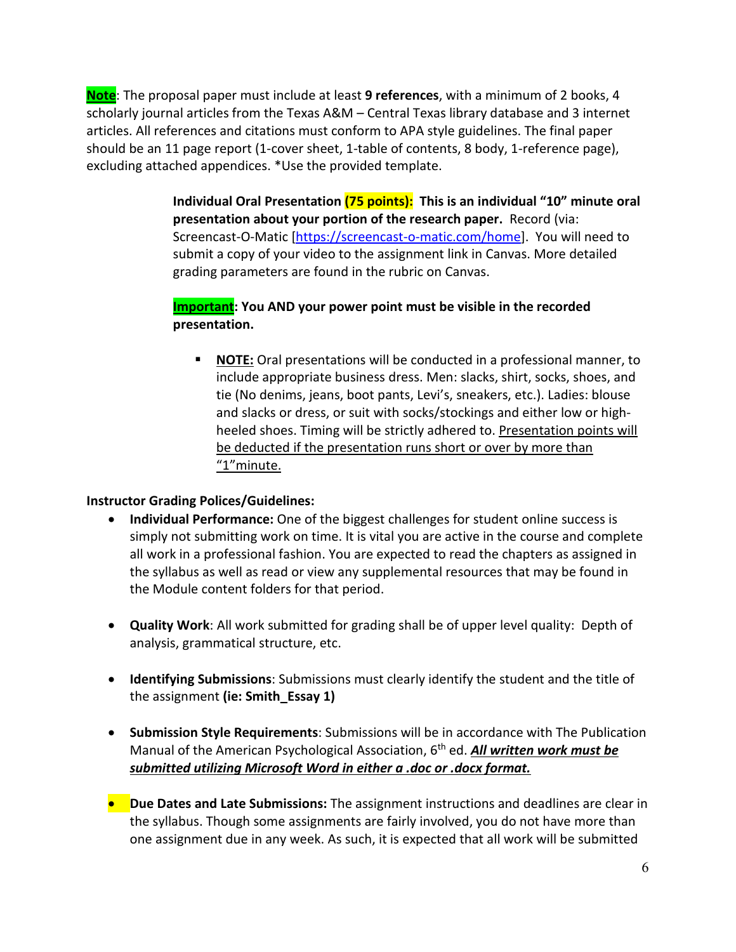**Note**: The proposal paper must include at least **9 references**, with a minimum of 2 books, 4 scholarly journal articles from the Texas A&M – Central Texas library database and 3 internet articles. All references and citations must conform to APA style guidelines. The final paper should be an 11 page report (1-cover sheet, 1-table of contents, 8 body, 1-reference page), excluding attached appendices. \*Use the provided template.

> **Individual Oral Presentation (75 points): This is an individual "10" minute oral presentation about your portion of the research paper.** Record (via: Screencast-O-Matic [\[https://screencast-o-matic.com/home\]](https://screencast-o-matic.com/home). You will need to submit a copy of your video to the assignment link in Canvas. More detailed grading parameters are found in the rubric on Canvas.

# **Important: You AND your power point must be visible in the recorded presentation.**

 **NOTE:** Oral presentations will be conducted in a professional manner, to include appropriate business dress. Men: slacks, shirt, socks, shoes, and tie (No denims, jeans, boot pants, Levi's, sneakers, etc.). Ladies: blouse and slacks or dress, or suit with socks/stockings and either low or highheeled shoes. Timing will be strictly adhered to. Presentation points will be deducted if the presentation runs short or over by more than "1"minute.

# **Instructor Grading Polices/Guidelines:**

- **Individual Performance:** One of the biggest challenges for student online success is simply not submitting work on time. It is vital you are active in the course and complete all work in a professional fashion. You are expected to read the chapters as assigned in the syllabus as well as read or view any supplemental resources that may be found in the Module content folders for that period.
- **Quality Work**: All work submitted for grading shall be of upper level quality: Depth of analysis, grammatical structure, etc.
- **Identifying Submissions**: Submissions must clearly identify the student and the title of the assignment **(ie: Smith\_Essay 1)**
- **Submission Style Requirements**: Submissions will be in accordance with The Publication Manual of the American Psychological Association, 6th ed. *All written work must be submitted utilizing Microsoft Word in either a .doc or .docx format.*
- **Due Dates and Late Submissions:** The assignment instructions and deadlines are clear in the syllabus. Though some assignments are fairly involved, you do not have more than one assignment due in any week. As such, it is expected that all work will be submitted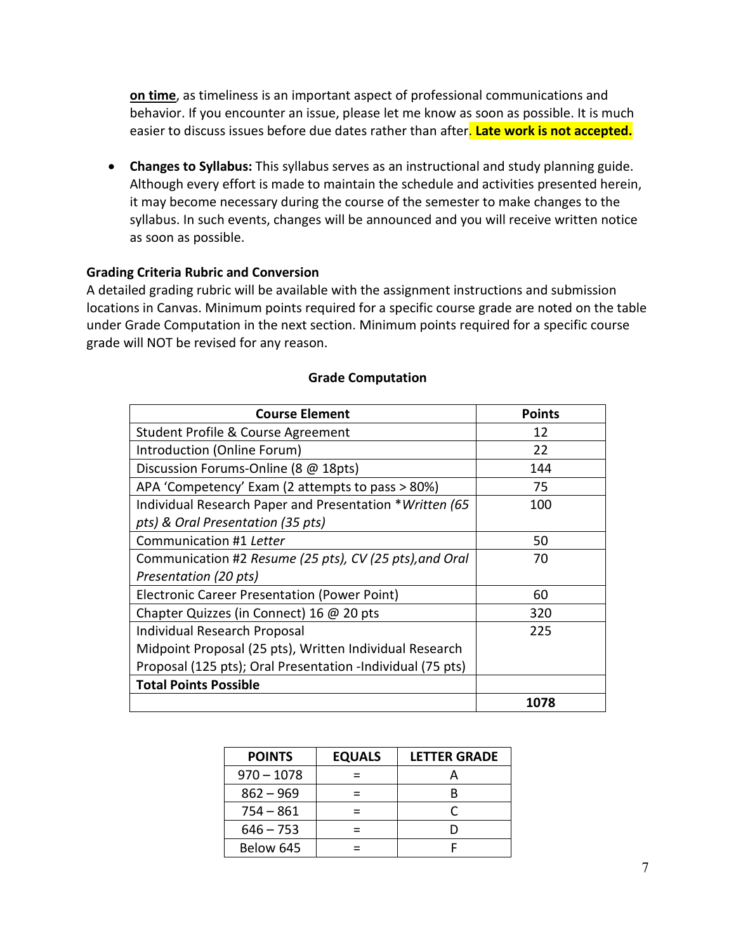**on time**, as timeliness is an important aspect of professional communications and behavior. If you encounter an issue, please let me know as soon as possible. It is much easier to discuss issues before due dates rather than after. **Late work is not accepted.**

• **Changes to Syllabus:** This syllabus serves as an instructional and study planning guide. Although every effort is made to maintain the schedule and activities presented herein, it may become necessary during the course of the semester to make changes to the syllabus. In such events, changes will be announced and you will receive written notice as soon as possible.

#### **Grading Criteria Rubric and Conversion**

A detailed grading rubric will be available with the assignment instructions and submission locations in Canvas. Minimum points required for a specific course grade are noted on the table under Grade Computation in the next section. Minimum points required for a specific course grade will NOT be revised for any reason.

| <b>Course Element</b>                                      | <b>Points</b> |
|------------------------------------------------------------|---------------|
| Student Profile & Course Agreement                         | 12            |
| Introduction (Online Forum)                                | 22            |
| Discussion Forums-Online (8 @ 18pts)                       | 144           |
| APA 'Competency' Exam (2 attempts to pass > 80%)           | 75            |
| Individual Research Paper and Presentation *Written (65    | 100           |
| pts) & Oral Presentation (35 pts)                          |               |
| Communication #1 Letter                                    | 50            |
| Communication #2 Resume (25 pts), CV (25 pts), and Oral    | 70            |
| Presentation (20 pts)                                      |               |
| <b>Electronic Career Presentation (Power Point)</b>        | 60            |
| Chapter Quizzes (in Connect) 16 @ 20 pts                   | 320           |
| <b>Individual Research Proposal</b>                        | 225           |
| Midpoint Proposal (25 pts), Written Individual Research    |               |
| Proposal (125 pts); Oral Presentation -Individual (75 pts) |               |
| <b>Total Points Possible</b>                               |               |
|                                                            | 1078          |

#### **Grade Computation**

| <b>POINTS</b> | <b>EQUALS</b> | <b>LETTER GRADE</b> |
|---------------|---------------|---------------------|
| $970 - 1078$  |               |                     |
| $862 - 969$   |               | R                   |
| $754 - 861$   |               |                     |
| $646 - 753$   |               |                     |
| Below 645     |               |                     |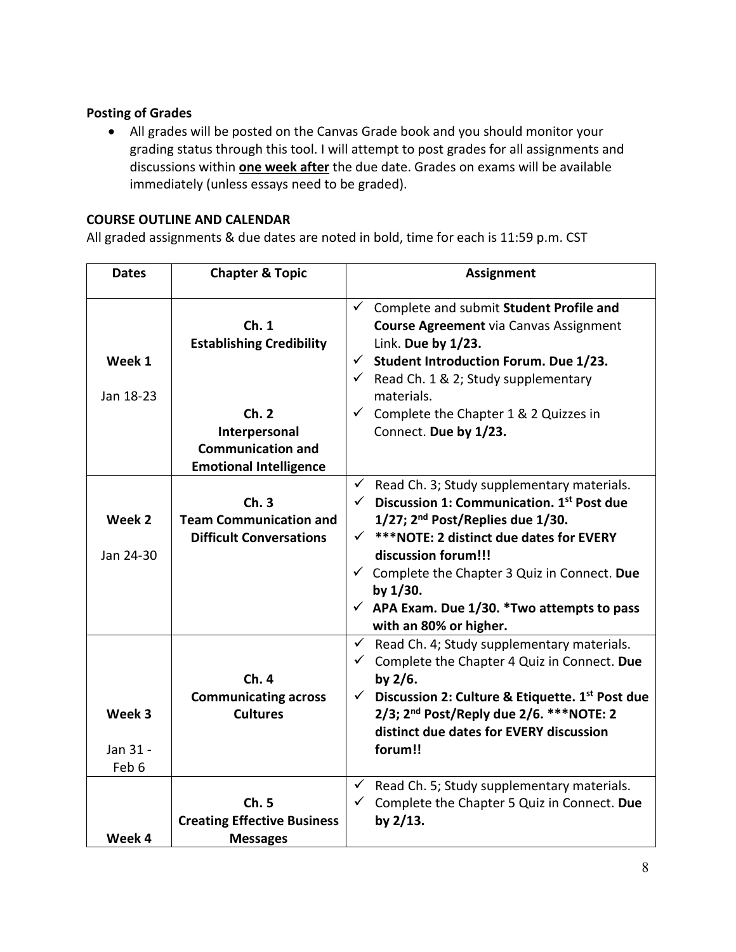# **Posting of Grades**

• All grades will be posted on the Canvas Grade book and you should monitor your grading status through this tool. I will attempt to post grades for all assignments and discussions within **one week after** the due date. Grades on exams will be available immediately (unless essays need to be graded).

### **COURSE OUTLINE AND CALENDAR**

All graded assignments & due dates are noted in bold, time for each is 11:59 p.m. CST

| <b>Dates</b>        | <b>Chapter &amp; Topic</b>                                                                                                    | <b>Assignment</b>                                                                                                                                                                                                                                                                                                                       |
|---------------------|-------------------------------------------------------------------------------------------------------------------------------|-----------------------------------------------------------------------------------------------------------------------------------------------------------------------------------------------------------------------------------------------------------------------------------------------------------------------------------------|
| Week 1<br>Jan 18-23 | Ch.1<br><b>Establishing Credibility</b><br>Ch.2<br>Interpersonal<br><b>Communication and</b><br><b>Emotional Intelligence</b> | $\checkmark$<br>Complete and submit Student Profile and<br><b>Course Agreement via Canvas Assignment</b><br>Link. Due by 1/23.<br><b>Student Introduction Forum. Due 1/23.</b><br>✓<br>$\checkmark$ Read Ch. 1 & 2; Study supplementary<br>materials.<br>$\checkmark$<br>Complete the Chapter 1 & 2 Quizzes in<br>Connect. Due by 1/23. |
|                     |                                                                                                                               | Read Ch. 3; Study supplementary materials.<br>$\checkmark$                                                                                                                                                                                                                                                                              |
|                     | Ch.3                                                                                                                          | $\checkmark$ Discussion 1: Communication. 1st Post due                                                                                                                                                                                                                                                                                  |
| Week 2              | <b>Team Communication and</b>                                                                                                 | $1/27$ ; $2nd$ Post/Replies due $1/30$ .                                                                                                                                                                                                                                                                                                |
|                     | <b>Difficult Conversations</b>                                                                                                | *** NOTE: 2 distinct due dates for EVERY<br>$\checkmark$                                                                                                                                                                                                                                                                                |
| Jan 24-30           |                                                                                                                               | discussion forum!!!                                                                                                                                                                                                                                                                                                                     |
|                     |                                                                                                                               | $\checkmark$ Complete the Chapter 3 Quiz in Connect. Due                                                                                                                                                                                                                                                                                |
|                     |                                                                                                                               | by 1/30.                                                                                                                                                                                                                                                                                                                                |
|                     |                                                                                                                               | $\checkmark$ APA Exam. Due 1/30. *Two attempts to pass                                                                                                                                                                                                                                                                                  |
|                     |                                                                                                                               | with an 80% or higher.                                                                                                                                                                                                                                                                                                                  |
|                     |                                                                                                                               | Read Ch. 4; Study supplementary materials.<br>$\checkmark$                                                                                                                                                                                                                                                                              |
|                     |                                                                                                                               | Complete the Chapter 4 Quiz in Connect. Due                                                                                                                                                                                                                                                                                             |
|                     | Ch.4                                                                                                                          | by $2/6$ .                                                                                                                                                                                                                                                                                                                              |
|                     | <b>Communicating across</b>                                                                                                   | Discussion 2: Culture & Etiquette. 1 <sup>st</sup> Post due<br>$\checkmark$                                                                                                                                                                                                                                                             |
| Week 3              | <b>Cultures</b>                                                                                                               | 2/3; 2 <sup>nd</sup> Post/Reply due 2/6. *** NOTE: 2                                                                                                                                                                                                                                                                                    |
|                     |                                                                                                                               | distinct due dates for EVERY discussion                                                                                                                                                                                                                                                                                                 |
| Jan 31 -<br>Feb 6   |                                                                                                                               | forum!!                                                                                                                                                                                                                                                                                                                                 |
|                     |                                                                                                                               | $\checkmark$                                                                                                                                                                                                                                                                                                                            |
|                     | Ch.5                                                                                                                          | Read Ch. 5; Study supplementary materials.<br>Complete the Chapter 5 Quiz in Connect. Due<br>$\checkmark$                                                                                                                                                                                                                               |
|                     | <b>Creating Effective Business</b>                                                                                            | by $2/13$ .                                                                                                                                                                                                                                                                                                                             |
| Week 4              | <b>Messages</b>                                                                                                               |                                                                                                                                                                                                                                                                                                                                         |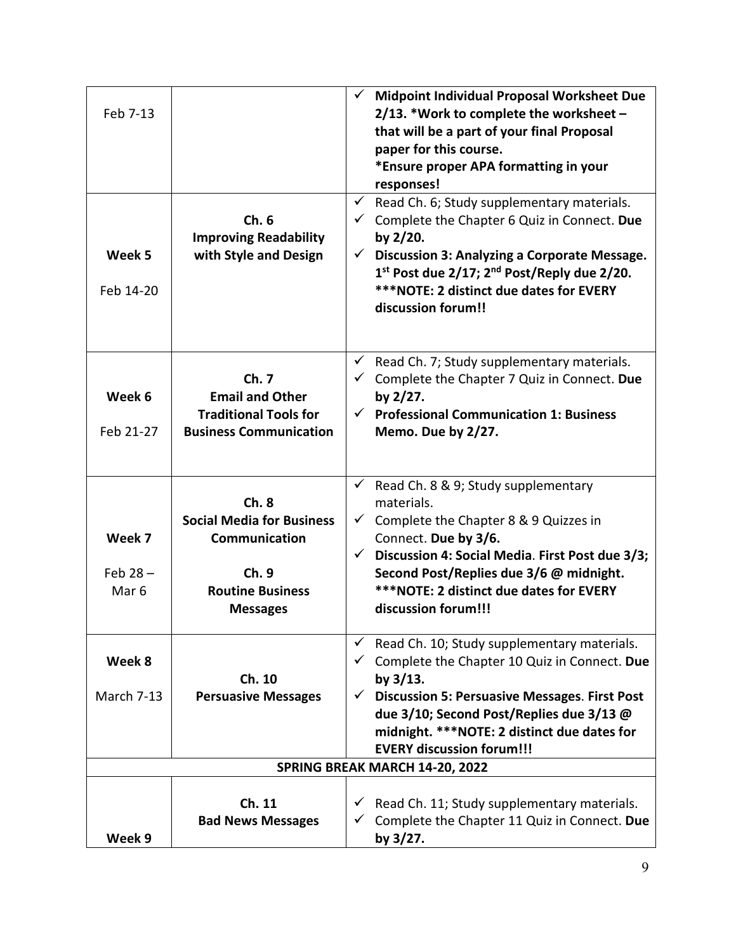| Feb 7-13<br>Week 5<br>Feb 14-20          | Ch.6<br><b>Improving Readability</b><br>with Style and Design                                                           | <b>Midpoint Individual Proposal Worksheet Due</b><br>$\checkmark$<br>2/13. *Work to complete the worksheet $-$<br>that will be a part of your final Proposal<br>paper for this course.<br>*Ensure proper APA formatting in your<br>responses!<br>Read Ch. 6; Study supplementary materials.<br>$\checkmark$<br>Complete the Chapter 6 Quiz in Connect. Due<br>✓<br>by $2/20$ .<br>Discussion 3: Analyzing a Corporate Message.<br>$\checkmark$<br>1st Post due 2/17; 2 <sup>nd</sup> Post/Reply due 2/20.<br>***NOTE: 2 distinct due dates for EVERY<br>discussion forum!! |
|------------------------------------------|-------------------------------------------------------------------------------------------------------------------------|----------------------------------------------------------------------------------------------------------------------------------------------------------------------------------------------------------------------------------------------------------------------------------------------------------------------------------------------------------------------------------------------------------------------------------------------------------------------------------------------------------------------------------------------------------------------------|
| Week 6<br>Feb 21-27                      | Ch. 7<br><b>Email and Other</b><br><b>Traditional Tools for</b><br><b>Business Communication</b>                        | Read Ch. 7; Study supplementary materials.<br>✓<br>$\checkmark$ Complete the Chapter 7 Quiz in Connect. Due<br>by 2/27.<br><b>Professional Communication 1: Business</b><br>$\checkmark$<br>Memo. Due by 2/27.                                                                                                                                                                                                                                                                                                                                                             |
| Week 7<br>Feb $28 -$<br>Mar <sub>6</sub> | Ch.8<br><b>Social Media for Business</b><br><b>Communication</b><br>Ch. 9<br><b>Routine Business</b><br><b>Messages</b> | Read Ch. 8 & 9; Study supplementary<br>$\checkmark$<br>materials.<br>Complete the Chapter 8 & 9 Quizzes in<br>Connect. Due by 3/6.<br>Discussion 4: Social Media. First Post due 3/3;<br>Second Post/Replies due 3/6 @ midnight.<br>*** NOTE: 2 distinct due dates for EVERY<br>discussion forum!!!                                                                                                                                                                                                                                                                        |
| Week 8<br><b>March 7-13</b>              | Ch. 10<br><b>Persuasive Messages</b>                                                                                    | Read Ch. 10; Study supplementary materials.<br>Complete the Chapter 10 Quiz in Connect. Due<br>by $3/13$ .<br><b>Discussion 5: Persuasive Messages. First Post</b><br>$\checkmark$<br>due 3/10; Second Post/Replies due 3/13 @<br>midnight. *** NOTE: 2 distinct due dates for<br><b>EVERY discussion forum!!!</b>                                                                                                                                                                                                                                                         |
| Week 9                                   | Ch. 11<br><b>Bad News Messages</b>                                                                                      | SPRING BREAK MARCH 14-20, 2022<br>$\checkmark$ Read Ch. 11; Study supplementary materials.<br>$\checkmark$ Complete the Chapter 11 Quiz in Connect. Due<br>by $3/27$ .                                                                                                                                                                                                                                                                                                                                                                                                     |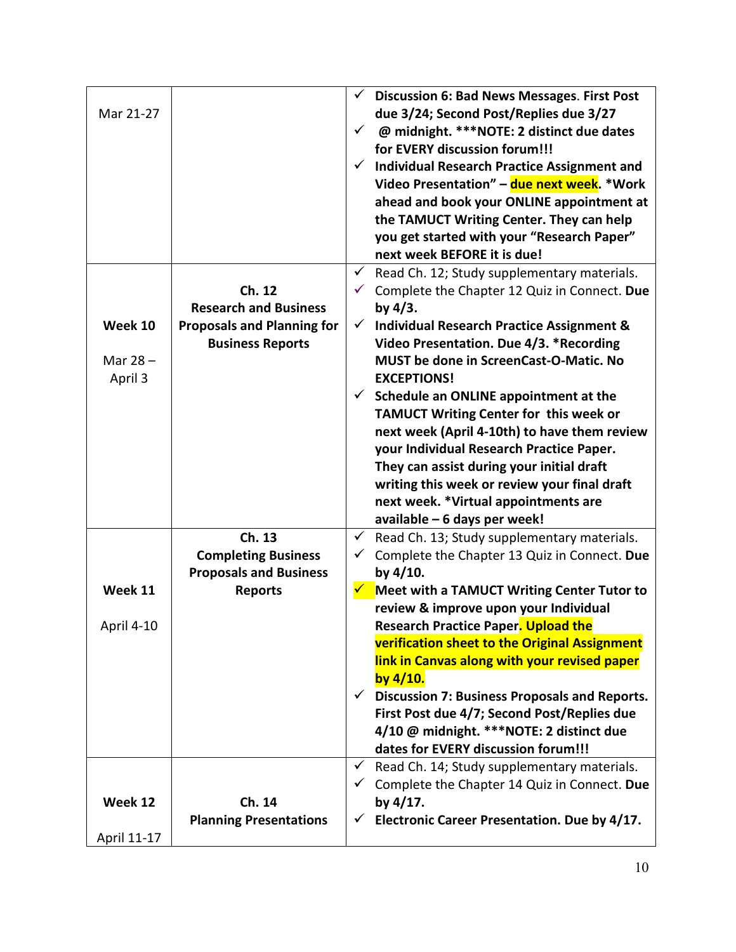| Mar 21-27                        |                                                                                                        | <b>Discussion 6: Bad News Messages. First Post</b><br>$\checkmark$<br>due 3/24; Second Post/Replies due 3/27<br>@ midnight. *** NOTE: 2 distinct due dates<br>$\checkmark$<br>for EVERY discussion forum!!!<br><b>Individual Research Practice Assignment and</b><br>Video Presentation" - due next week. *Work<br>ahead and book your ONLINE appointment at<br>the TAMUCT Writing Center. They can help<br>you get started with your "Research Paper"<br>next week BEFORE it is due!                                                                                                                                                                      |
|----------------------------------|--------------------------------------------------------------------------------------------------------|------------------------------------------------------------------------------------------------------------------------------------------------------------------------------------------------------------------------------------------------------------------------------------------------------------------------------------------------------------------------------------------------------------------------------------------------------------------------------------------------------------------------------------------------------------------------------------------------------------------------------------------------------------|
| Week 10<br>Mar $28 -$<br>April 3 | Ch. 12<br><b>Research and Business</b><br><b>Proposals and Planning for</b><br><b>Business Reports</b> | Read Ch. 12; Study supplementary materials.<br>$\checkmark$<br>Complete the Chapter 12 Quiz in Connect. Due<br>by $4/3$ .<br><b>Individual Research Practice Assignment &amp;</b><br>✓<br>Video Presentation. Due 4/3. *Recording<br>MUST be done in ScreenCast-O-Matic. No<br><b>EXCEPTIONS!</b><br>Schedule an ONLINE appointment at the<br>✓<br>TAMUCT Writing Center for this week or<br>next week (April 4-10th) to have them review<br>your Individual Research Practice Paper.<br>They can assist during your initial draft<br>writing this week or review your final draft<br>next week. *Virtual appointments are<br>available - 6 days per week! |
| Week 11<br>April 4-10            | Ch. 13<br><b>Completing Business</b><br><b>Proposals and Business</b><br><b>Reports</b>                | Read Ch. 13; Study supplementary materials.<br>✓<br>Complete the Chapter 13 Quiz in Connect. Due<br>✓<br>by 4/10.<br><b>Meet with a TAMUCT Writing Center Tutor to</b><br>review & improve upon your Individual<br><b>Research Practice Paper<mark>. Upload the</mark></b><br>verification sheet to the Original Assignment<br>link in Canvas along with your revised paper<br>by $4/10$ .<br>$\checkmark$ Discussion 7: Business Proposals and Reports.<br>First Post due 4/7; Second Post/Replies due<br>4/10 @ midnight. ***NOTE: 2 distinct due<br>dates for EVERY discussion forum!!!                                                                 |
| Week 12<br>April 11-17           | Ch. 14<br><b>Planning Presentations</b>                                                                | Read Ch. 14; Study supplementary materials.<br>$\checkmark$<br>Complete the Chapter 14 Quiz in Connect. Due<br>$\checkmark$<br>by $4/17$ .<br>Electronic Career Presentation. Due by 4/17.                                                                                                                                                                                                                                                                                                                                                                                                                                                                 |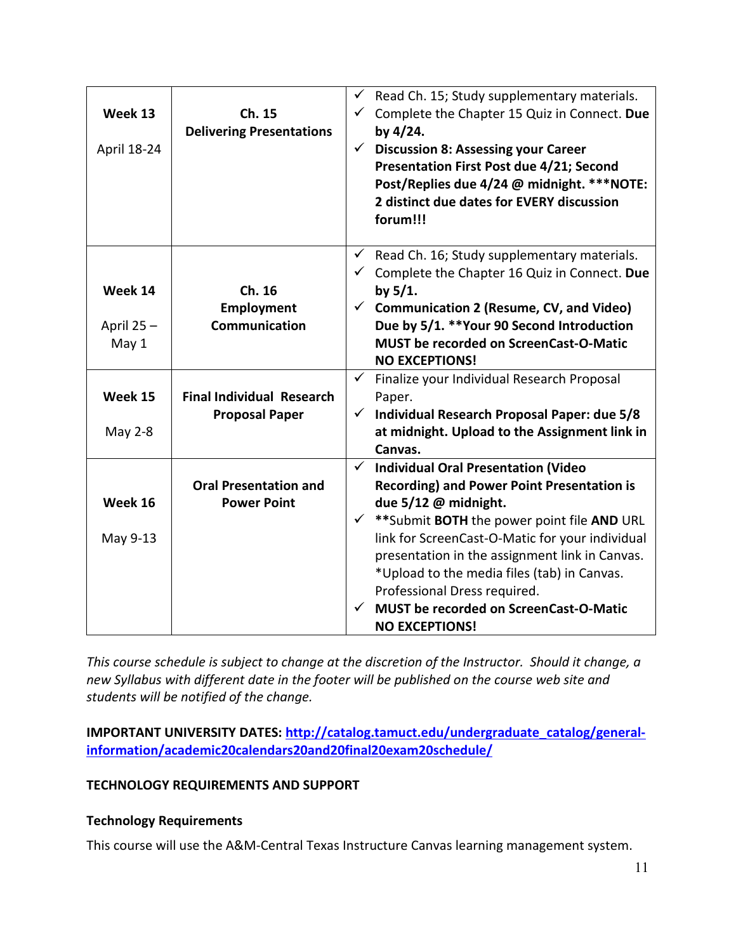| Week 13<br>April 18-24 | Ch. 15<br><b>Delivering Presentations</b> | $\checkmark$<br>$\checkmark$ | Read Ch. 15; Study supplementary materials.<br>Complete the Chapter 15 Quiz in Connect. Due<br>by $4/24$ .<br><b>Discussion 8: Assessing your Career</b><br>Presentation First Post due 4/21; Second<br>Post/Replies due 4/24 @ midnight. *** NOTE:<br>2 distinct due dates for EVERY discussion<br>forum!!! |
|------------------------|-------------------------------------------|------------------------------|--------------------------------------------------------------------------------------------------------------------------------------------------------------------------------------------------------------------------------------------------------------------------------------------------------------|
| Week 14                | Ch. 16                                    | $\checkmark$<br>$\checkmark$ | Read Ch. 16; Study supplementary materials.<br>Complete the Chapter 16 Quiz in Connect. Due<br>by $5/1$ .                                                                                                                                                                                                    |
|                        | Employment                                | $\checkmark$                 | <b>Communication 2 (Resume, CV, and Video)</b>                                                                                                                                                                                                                                                               |
| April 25-              | Communication                             |                              | Due by 5/1. ** Your 90 Second Introduction                                                                                                                                                                                                                                                                   |
| May 1                  |                                           |                              | <b>MUST be recorded on ScreenCast-O-Matic</b><br><b>NO EXCEPTIONS!</b>                                                                                                                                                                                                                                       |
|                        |                                           | $\checkmark$                 | Finalize your Individual Research Proposal                                                                                                                                                                                                                                                                   |
| Week 15                | <b>Final Individual Research</b>          |                              | Paper.                                                                                                                                                                                                                                                                                                       |
|                        | <b>Proposal Paper</b>                     | $\checkmark$                 | Individual Research Proposal Paper: due 5/8                                                                                                                                                                                                                                                                  |
| May 2-8                |                                           |                              | at midnight. Upload to the Assignment link in<br>Canvas.                                                                                                                                                                                                                                                     |
|                        |                                           | $\checkmark$                 | <b>Individual Oral Presentation (Video</b>                                                                                                                                                                                                                                                                   |
|                        | <b>Oral Presentation and</b>              |                              | <b>Recording) and Power Point Presentation is</b>                                                                                                                                                                                                                                                            |
| Week 16                | <b>Power Point</b>                        |                              | due 5/12 @ midnight.                                                                                                                                                                                                                                                                                         |
|                        |                                           |                              | ** Submit BOTH the power point file AND URL                                                                                                                                                                                                                                                                  |
| May 9-13               |                                           |                              | link for ScreenCast-O-Matic for your individual                                                                                                                                                                                                                                                              |
|                        |                                           |                              | presentation in the assignment link in Canvas.                                                                                                                                                                                                                                                               |
|                        |                                           |                              | *Upload to the media files (tab) in Canvas.                                                                                                                                                                                                                                                                  |
|                        |                                           |                              | Professional Dress required.                                                                                                                                                                                                                                                                                 |
|                        |                                           |                              | <b>MUST be recorded on ScreenCast-O-Matic</b><br><b>NO EXCEPTIONS!</b>                                                                                                                                                                                                                                       |
|                        |                                           |                              |                                                                                                                                                                                                                                                                                                              |

*This course schedule is subject to change at the discretion of the Instructor. Should it change, a new Syllabus with different date in the footer will be published on the course web site and students will be notified of the change.*

**IMPORTANT UNIVERSITY DATES: [http://catalog.tamuct.edu/undergraduate\\_catalog/general](http://catalog.tamuct.edu/undergraduate_catalog/general-information/academic20calendars20and20final20exam20schedule/)[information/academic20calendars20and20final20exam20schedule/](http://catalog.tamuct.edu/undergraduate_catalog/general-information/academic20calendars20and20final20exam20schedule/)**

# **TECHNOLOGY REQUIREMENTS AND SUPPORT**

#### **Technology Requirements**

This course will use the A&M-Central Texas Instructure Canvas learning management system.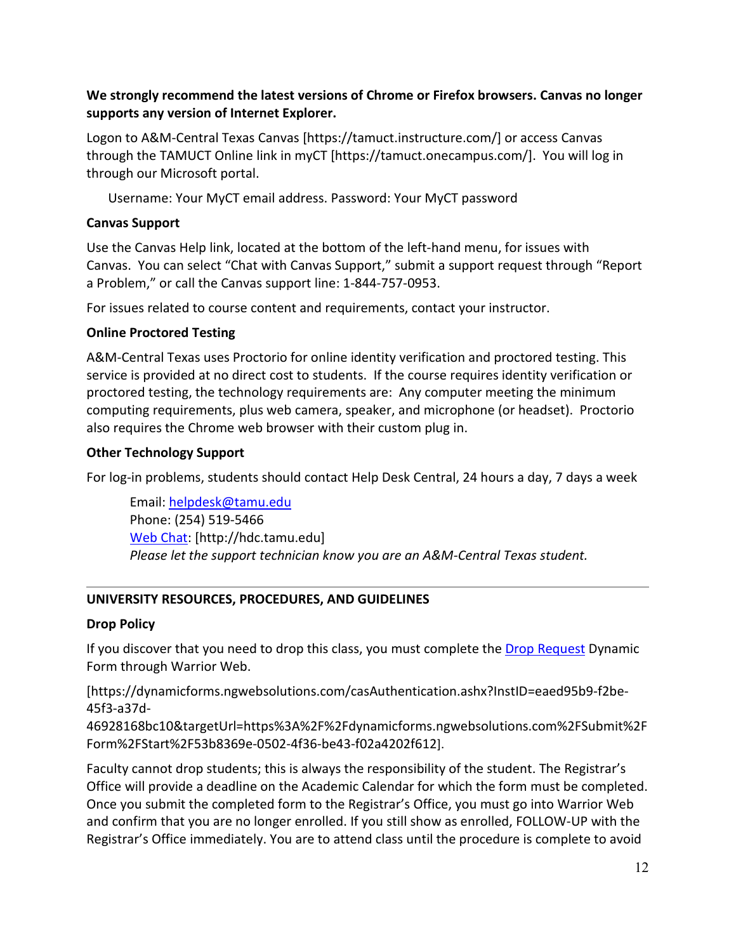# **We strongly recommend the latest versions of Chrome or Firefox browsers. Canvas no longer supports any version of Internet Explorer.**

Logon to A&M-Central Texas Canvas [https://tamuct.instructure.com/] or access Canvas through the TAMUCT Online link in myCT [https://tamuct.onecampus.com/]. You will log in through our Microsoft portal.

Username: Your MyCT email address. Password: Your MyCT password

### **Canvas Support**

Use the Canvas Help link, located at the bottom of the left-hand menu, for issues with Canvas. You can select "Chat with Canvas Support," submit a support request through "Report a Problem," or call the Canvas support line: 1-844-757-0953.

For issues related to course content and requirements, contact your instructor.

### **Online Proctored Testing**

A&M-Central Texas uses Proctorio for online identity verification and proctored testing. This service is provided at no direct cost to students. If the course requires identity verification or proctored testing, the technology requirements are: Any computer meeting the minimum computing requirements, plus web camera, speaker, and microphone (or headset). Proctorio also requires the Chrome web browser with their custom plug in.

### **Other Technology Support**

For log-in problems, students should contact Help Desk Central, 24 hours a day, 7 days a week

Email: [helpdesk@tamu.edu](mailto:helpdesk@tamu.edu) Phone: (254) 519-5466 [Web Chat:](http://hdc.tamu.edu/) [http://hdc.tamu.edu] *Please let the support technician know you are an A&M-Central Texas student.*

# **UNIVERSITY RESOURCES, PROCEDURES, AND GUIDELINES**

#### **Drop Policy**

If you discover that you need to drop this class, you must complete the [Drop Request](https://dynamicforms.ngwebsolutions.com/casAuthentication.ashx?InstID=eaed95b9-f2be-45f3-a37d-46928168bc10&targetUrl=https%3A%2F%2Fdynamicforms.ngwebsolutions.com%2FSubmit%2FForm%2FStart%2F53b8369e-0502-4f36-be43-f02a4202f612) Dynamic Form through Warrior Web.

[https://dynamicforms.ngwebsolutions.com/casAuthentication.ashx?InstID=eaed95b9-f2be-45f3-a37d-

46928168bc10&targetUrl=https%3A%2F%2Fdynamicforms.ngwebsolutions.com%2FSubmit%2F Form%2FStart%2F53b8369e-0502-4f36-be43-f02a4202f612].

Faculty cannot drop students; this is always the responsibility of the student. The Registrar's Office will provide a deadline on the Academic Calendar for which the form must be completed. Once you submit the completed form to the Registrar's Office, you must go into Warrior Web and confirm that you are no longer enrolled. If you still show as enrolled, FOLLOW-UP with the Registrar's Office immediately. You are to attend class until the procedure is complete to avoid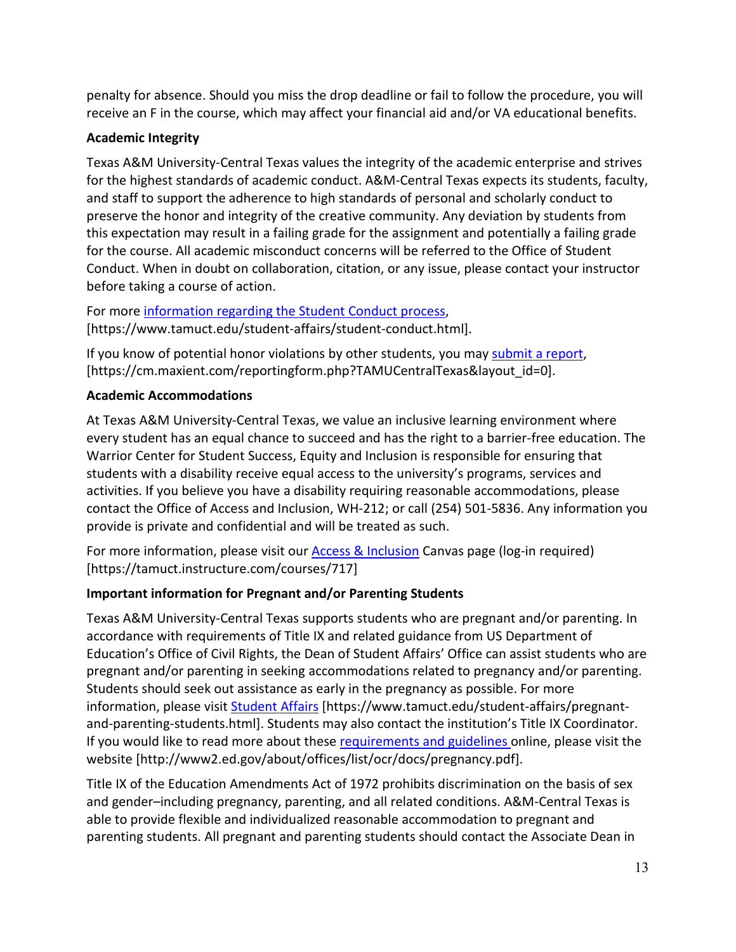penalty for absence. Should you miss the drop deadline or fail to follow the procedure, you will receive an F in the course, which may affect your financial aid and/or VA educational benefits.

# **Academic Integrity**

Texas A&M University-Central Texas values the integrity of the academic enterprise and strives for the highest standards of academic conduct. A&M-Central Texas expects its students, faculty, and staff to support the adherence to high standards of personal and scholarly conduct to preserve the honor and integrity of the creative community. Any deviation by students from this expectation may result in a failing grade for the assignment and potentially a failing grade for the course. All academic misconduct concerns will be referred to the Office of Student Conduct. When in doubt on collaboration, citation, or any issue, please contact your instructor before taking a course of action.

For more [information](https://nam04.safelinks.protection.outlook.com/?url=https%3A%2F%2Fwww.tamuct.edu%2Fstudent-affairs%2Fstudent-conduct.html&data=04%7C01%7Clisa.bunkowski%40tamuct.edu%7Ccfb6e486f24745f53e1a08d910055cb2%7C9eed4e3000f744849ff193ad8005acec%7C0%7C0%7C637558437485252160%7CUnknown%7CTWFpbGZsb3d8eyJWIjoiMC4wLjAwMDAiLCJQIjoiV2luMzIiLCJBTiI6Ik1haWwiLCJXVCI6Mn0%3D%7C1000&sdata=yjftDEVHvLX%2FhM%2FcFU0B99krV1RgEWR%2BJ%2BhvtoR6TYk%3D&reserved=0) regarding the Student Conduct process, [https://www.tamuct.edu/student-affairs/student-conduct.html].

If you know of potential honor violations by other students, you may [submit](https://nam04.safelinks.protection.outlook.com/?url=https%3A%2F%2Fcm.maxient.com%2Freportingform.php%3FTAMUCentralTexas%26layout_id%3D0&data=04%7C01%7Clisa.bunkowski%40tamuct.edu%7Ccfb6e486f24745f53e1a08d910055cb2%7C9eed4e3000f744849ff193ad8005acec%7C0%7C0%7C637558437485262157%7CUnknown%7CTWFpbGZsb3d8eyJWIjoiMC4wLjAwMDAiLCJQIjoiV2luMzIiLCJBTiI6Ik1haWwiLCJXVCI6Mn0%3D%7C1000&sdata=CXGkOa6uPDPX1IMZ87z3aZDq2n91xfHKu4MMS43Ejjk%3D&reserved=0) a report, [https://cm.maxient.com/reportingform.php?TAMUCentralTexas&layout\_id=0].

# **Academic Accommodations**

At Texas A&M University-Central Texas, we value an inclusive learning environment where every student has an equal chance to succeed and has the right to a barrier-free education. The Warrior Center for Student Success, Equity and Inclusion is responsible for ensuring that students with a disability receive equal access to the university's programs, services and activities. If you believe you have a disability requiring reasonable accommodations, please contact the Office of Access and Inclusion, WH-212; or call (254) 501-5836. Any information you provide is private and confidential and will be treated as such.

For more information, please visit our [Access & Inclusion](https://tamuct.instructure.com/courses/717) Canvas page (log-in required) [https://tamuct.instructure.com/courses/717]

# **Important information for Pregnant and/or Parenting Students**

Texas A&M University-Central Texas supports students who are pregnant and/or parenting. In accordance with requirements of Title IX and related guidance from US Department of Education's Office of Civil Rights, the Dean of Student Affairs' Office can assist students who are pregnant and/or parenting in seeking accommodations related to pregnancy and/or parenting. Students should seek out assistance as early in the pregnancy as possible. For more information, please visit [Student Affairs](https://www.tamuct.edu/student-affairs/pregnant-and-parenting-students.html) [https://www.tamuct.edu/student-affairs/pregnantand-parenting-students.html]. Students may also contact the institution's Title IX Coordinator. If you would like to read more about thes[e requirements and guidelines](http://www2.ed.gov/about/offices/list/ocr/docs/pregnancy.pdf) online, please visit the website [http://www2.ed.gov/about/offices/list/ocr/docs/pregnancy.pdf].

Title IX of the Education Amendments Act of 1972 prohibits discrimination on the basis of sex and gender–including pregnancy, parenting, and all related conditions. A&M-Central Texas is able to provide flexible and individualized reasonable accommodation to pregnant and parenting students. All pregnant and parenting students should contact the Associate Dean in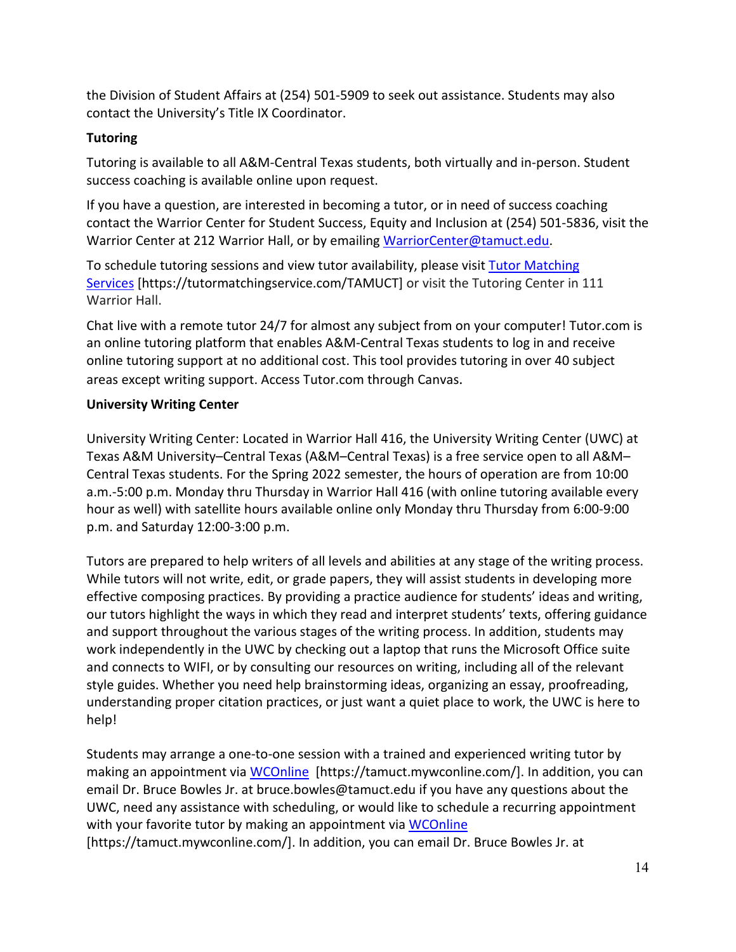the Division of Student Affairs at (254) 501-5909 to seek out assistance. Students may also contact the University's Title IX Coordinator.

# **Tutoring**

Tutoring is available to all A&M-Central Texas students, both virtually and in-person. Student success coaching is available online upon request.

If you have a question, are interested in becoming a tutor, or in need of success coaching contact the Warrior Center for Student Success, Equity and Inclusion at (254) 501-5836, visit the Warrior Center at 212 Warrior Hall, or by emailing [WarriorCenter@tamuct.edu.](mailto:WarriorCenter@tamuct.edu)

To schedule tutoring sessions and view tutor availability, please visit Tutor [Matching](https://tutormatchingservice.com/TAMUCT) [Services](https://tutormatchingservice.com/TAMUCT) [https://tutormatchingservice.com/TAMUCT] or visit the Tutoring Center in 111 Warrior Hall.

Chat live with a remote tutor 24/7 for almost any subject from on your computer! Tutor.com is an online tutoring platform that enables A&M-Central Texas students to log in and receive online tutoring support at no additional cost. This tool provides tutoring in over 40 subject areas except writing support. Access Tutor.com through Canvas.

# **University Writing Center**

University Writing Center: Located in Warrior Hall 416, the University Writing Center (UWC) at Texas A&M University–Central Texas (A&M–Central Texas) is a free service open to all A&M– Central Texas students. For the Spring 2022 semester, the hours of operation are from 10:00 a.m.-5:00 p.m. Monday thru Thursday in Warrior Hall 416 (with online tutoring available every hour as well) with satellite hours available online only Monday thru Thursday from 6:00-9:00 p.m. and Saturday 12:00-3:00 p.m.

Tutors are prepared to help writers of all levels and abilities at any stage of the writing process. While tutors will not write, edit, or grade papers, they will assist students in developing more effective composing practices. By providing a practice audience for students' ideas and writing, our tutors highlight the ways in which they read and interpret students' texts, offering guidance and support throughout the various stages of the writing process. In addition, students may work independently in the UWC by checking out a laptop that runs the Microsoft Office suite and connects to WIFI, or by consulting our resources on writing, including all of the relevant style guides. Whether you need help brainstorming ideas, organizing an essay, proofreading, understanding proper citation practices, or just want a quiet place to work, the UWC is here to help!

Students may arrange a one-to-one session with a trained and experienced writing tutor by making an appointment via [WCOnline](https://tamuct.mywconline.com/) [https://tamuct.mywconline.com/]. In addition, you can email Dr. Bruce Bowles Jr. at bruce.bowles@tamuct.edu if you have any questions about the UWC, need any assistance with scheduling, or would like to schedule a recurring appointment with your favorite tutor by making an appointment via [WCOnline](https://tamuct.mywconline.com/) [https://tamuct.mywconline.com/]. In addition, you can email Dr. Bruce Bowles Jr. at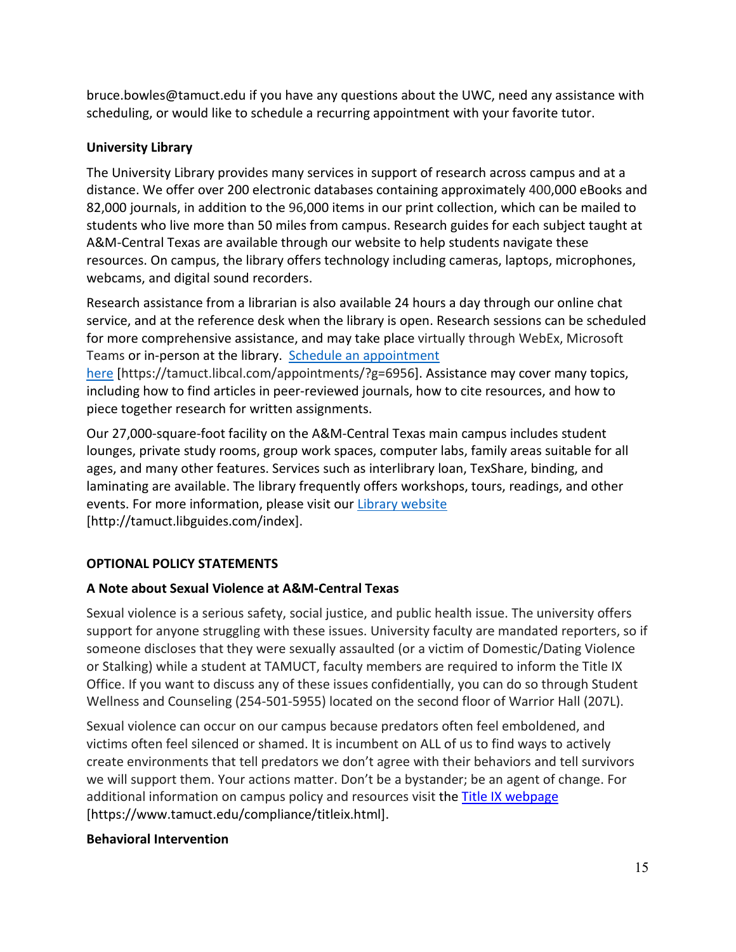bruce.bowles@tamuct.edu if you have any questions about the UWC, need any assistance with scheduling, or would like to schedule a recurring appointment with your favorite tutor.

# **University Library**

The University Library provides many services in support of research across campus and at a distance. We offer over 200 electronic databases containing approximately 400,000 eBooks and 82,000 journals, in addition to the 96,000 items in our print collection, which can be mailed to students who live more than 50 miles from campus. Research guides for each subject taught at A&M-Central Texas are available through our website to help students navigate these resources. On campus, the library offers technology including cameras, laptops, microphones, webcams, and digital sound recorders.

Research assistance from a librarian is also available 24 hours a day through our online chat service, and at the reference desk when the library is open. Research sessions can be scheduled for more comprehensive assistance, and may take place virtually through WebEx, Microsoft Teams or in-person at the library. Schedule an [appointment](https://nam04.safelinks.protection.outlook.com/?url=https%3A%2F%2Ftamuct.libcal.com%2Fappointments%2F%3Fg%3D6956&data=04%7C01%7Clisa.bunkowski%40tamuct.edu%7Cde2c07d9f5804f09518008d9ab7ba6ff%7C9eed4e3000f744849ff193ad8005acec%7C0%7C0%7C637729369835011558%7CUnknown%7CTWFpbGZsb3d8eyJWIjoiMC4wLjAwMDAiLCJQIjoiV2luMzIiLCJBTiI6Ik1haWwiLCJXVCI6Mn0%3D%7C3000&sdata=KhtjgRSAw9aq%2FoBsB6wyu8b7PSuGN5EGPypzr3Ty2No%3D&reserved=0)

[here](https://nam04.safelinks.protection.outlook.com/?url=https%3A%2F%2Ftamuct.libcal.com%2Fappointments%2F%3Fg%3D6956&data=04%7C01%7Clisa.bunkowski%40tamuct.edu%7Cde2c07d9f5804f09518008d9ab7ba6ff%7C9eed4e3000f744849ff193ad8005acec%7C0%7C0%7C637729369835011558%7CUnknown%7CTWFpbGZsb3d8eyJWIjoiMC4wLjAwMDAiLCJQIjoiV2luMzIiLCJBTiI6Ik1haWwiLCJXVCI6Mn0%3D%7C3000&sdata=KhtjgRSAw9aq%2FoBsB6wyu8b7PSuGN5EGPypzr3Ty2No%3D&reserved=0) [https://tamuct.libcal.com/appointments/?g=6956]. Assistance may cover many topics, including how to find articles in peer-reviewed journals, how to cite resources, and how to piece together research for written assignments.

Our 27,000-square-foot facility on the A&M-Central Texas main campus includes student lounges, private study rooms, group work spaces, computer labs, family areas suitable for all ages, and many other features. Services such as interlibrary loan, TexShare, binding, and laminating are available. The library frequently offers workshops, tours, readings, and other events. For more information, please visit our Library [website](https://nam04.safelinks.protection.outlook.com/?url=https%3A%2F%2Ftamuct.libguides.com%2Findex&data=04%7C01%7Clisa.bunkowski%40tamuct.edu%7C7d8489e8839a4915335f08d916f067f2%7C9eed4e3000f744849ff193ad8005acec%7C0%7C0%7C637566044056484222%7CUnknown%7CTWFpbGZsb3d8eyJWIjoiMC4wLjAwMDAiLCJQIjoiV2luMzIiLCJBTiI6Ik1haWwiLCJXVCI6Mn0%3D%7C1000&sdata=2R755V6rcIyedGrd4Os5rkgn1PvhHKU3kUV1vBKiHFo%3D&reserved=0) [http://tamuct.libguides.com/index].

# **OPTIONAL POLICY STATEMENTS**

# **A Note about Sexual Violence at A&M-Central Texas**

Sexual violence is a serious safety, social justice, and public health issue. The university offers support for anyone struggling with these issues. University faculty are mandated reporters, so if someone discloses that they were sexually assaulted (or a victim of Domestic/Dating Violence or Stalking) while a student at TAMUCT, faculty members are required to inform the Title IX Office. If you want to discuss any of these issues confidentially, you can do so through Student Wellness and Counseling (254-501-5955) located on the second floor of Warrior Hall (207L).

Sexual violence can occur on our campus because predators often feel emboldened, and victims often feel silenced or shamed. It is incumbent on ALL of us to find ways to actively create environments that tell predators we don't agree with their behaviors and tell survivors we will support them. Your actions matter. Don't be a bystander; be an agent of change. For additional information on campus policy and resources visit the **Title IX webpage** [\[https://www.tamuct.edu/compliance/titleix.html\]](https://www.tamuct.edu/compliance/titleix.html).

#### **Behavioral Intervention**